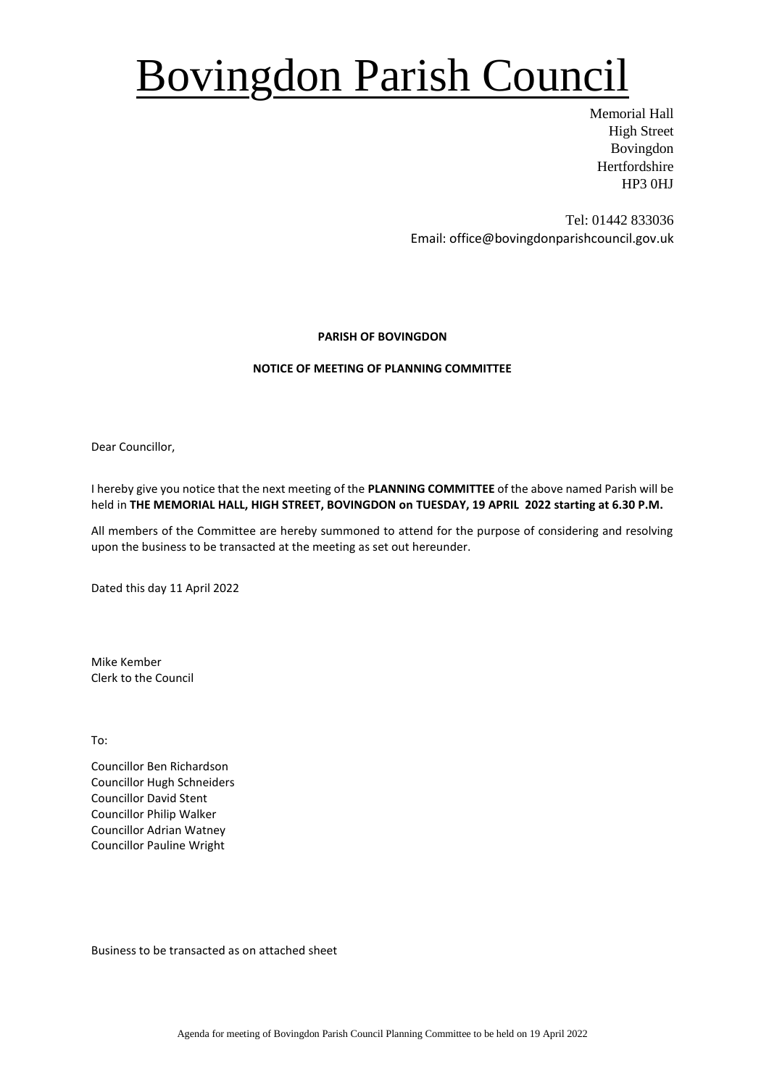## Bovingdon Parish Council

Memorial Hall High Street Bovingdon Hertfordshire HP3 0HJ

Tel: 01442 833036 Email: office@bovingdonparishcouncil.gov.uk

### **PARISH OF BOVINGDON**

### **NOTICE OF MEETING OF PLANNING COMMITTEE**

Dear Councillor,

I hereby give you notice that the next meeting of the **PLANNING COMMITTEE** of the above named Parish will be held in **THE MEMORIAL HALL, HIGH STREET, BOVINGDON on TUESDAY, 19 APRIL 2022 starting at 6.30 P.M.**

All members of the Committee are hereby summoned to attend for the purpose of considering and resolving upon the business to be transacted at the meeting as set out hereunder.

Dated this day 11 April 2022

Mike Kember Clerk to the Council

To:

Councillor Ben Richardson Councillor Hugh Schneiders Councillor David Stent Councillor Philip Walker Councillor Adrian Watney Councillor Pauline Wright

Business to be transacted as on attached sheet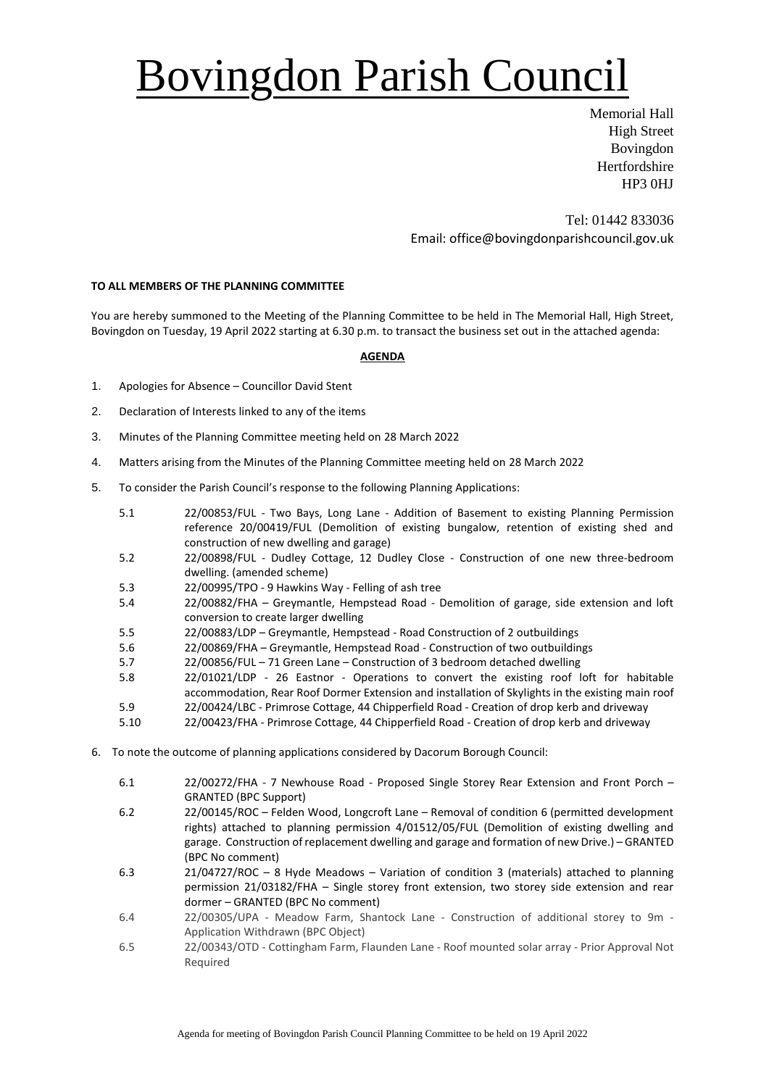# Bovingdon Parish Council

Memorial Hall High Street Bovingdon **Hertfordshire** HP3 0HJ

Tel: 01442 833036 Email: office@bovingdonparishcouncil.gov.uk

### **TO ALL MEMBERS OF THE PLANNING COMMITTEE**

You are hereby summoned to the Meeting of the Planning Committee to be held in The Memorial Hall, High Street, Bovingdon on Tuesday, 19 April 2022 starting at 6.30 p.m. to transact the business set out in the attached agenda:

#### **AGENDA**

- 1. Apologies for Absence Councillor David Stent
- 2. Declaration of Interests linked to any of the items
- 3. Minutes of the Planning Committee meeting held on 28 March 2022
- 4. Matters arising from the Minutes of the Planning Committee meeting held on 28 March 2022
- 5. To consider the Parish Council's response to the following Planning Applications:
	- 5.1 22/00853/FUL Two Bays, Long Lane Addition of Basement to existing Planning Permission reference 20/00419/FUL (Demolition of existing bungalow, retention of existing shed and construction of new dwelling and garage)
	- 5.2 22/00898/FUL Dudley Cottage, 12 Dudley Close Construction of one new three-bedroom dwelling. (amended scheme)
	- 5.3 22/00995/TPO 9 Hawkins Way Felling of ash tree
	- 5.4 22/00882/FHA Greymantle, Hempstead Road Demolition of garage, side extension and loft conversion to create larger dwelling
	- 5.5 22/00883/LDP Greymantle, Hempstead Road Construction of 2 outbuildings
	- 5.6 22/00869/FHA Greymantle, Hempstead Road Construction of two outbuildings
	- 5.7 22/00856/FUL 71 Green Lane Construction of 3 bedroom detached dwelling
	- 5.8 22/01021/LDP 26 Eastnor Operations to convert the existing roof loft for habitable accommodation, Rear Roof Dormer Extension and installation of Skylights in the existing main roof
	- 5.9 22/00424/LBC Primrose Cottage, 44 Chipperfield Road Creation of drop kerb and driveway
	- 5.10 22/00423/FHA Primrose Cottage, 44 Chipperfield Road Creation of drop kerb and driveway
- 6. To note the outcome of planning applications considered by Dacorum Borough Council:
	- 6.1 22/00272/FHA 7 Newhouse Road Proposed Single Storey Rear Extension and Front Porch GRANTED (BPC Support)
	- 6.2 22/00145/ROC Felden Wood, Longcroft Lane Removal of condition 6 (permitted development rights) attached to planning permission 4/01512/05/FUL (Demolition of existing dwelling and garage. Construction of replacement dwelling and garage and formation of new Drive.) – GRANTED (BPC No comment)
	- 6.3 21/04727/ROC 8 Hyde Meadows Variation of condition 3 (materials) attached to planning permission 21/03182/FHA – Single storey front extension, two storey side extension and rear dormer – GRANTED (BPC No comment)
	- 6.4 22/00305/UPA Meadow Farm, Shantock Lane Construction of additional storey to 9m Application Withdrawn (BPC Object)
	- 6.5 22/00343/OTD Cottingham Farm, Flaunden Lane Roof mounted solar array Prior Approval Not Required